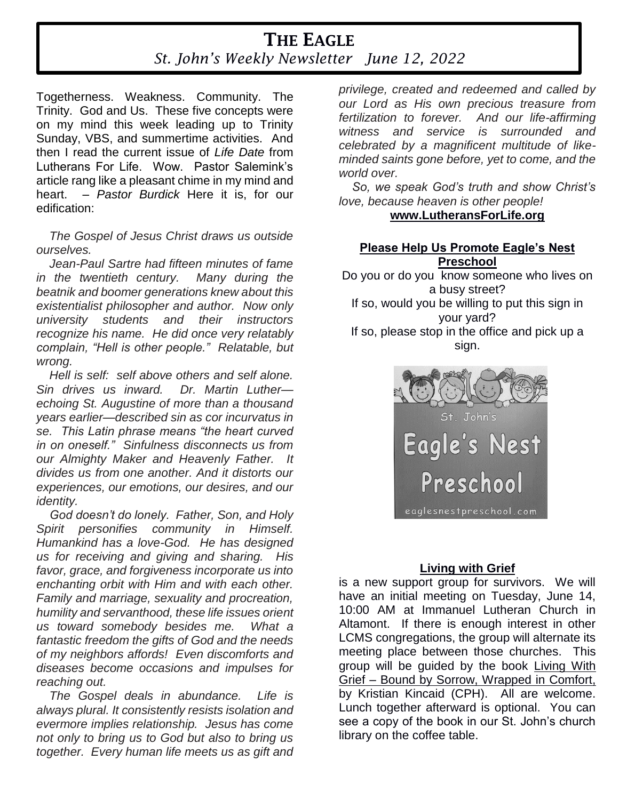# **THE EAGLE** *St. John's Weekly Newsletter June 12, 2022*

Togetherness. Weakness. Community. The Trinity. God and Us. These five concepts were on my mind this week leading up to Trinity Sunday, VBS, and summertime activities. And then I read the current issue of *Life Date* from Lutherans For Life. Wow. Pastor Salemink's article rang like a pleasant chime in my mind and heart. *– Pastor Burdick* Here it is, for our edification:

*The Gospel of Jesus Christ draws us outside ourselves.* 

*Jean-Paul Sartre had fifteen minutes of fame in the twentieth century. Many during the beatnik and boomer generations knew about this existentialist philosopher and author. Now only university students and their instructors recognize his name. He did once very relatably complain, "Hell is other people." Relatable, but wrong.* 

*Hell is self: self above others and self alone. Sin drives us inward. Dr. Martin Luther echoing St. Augustine of more than a thousand years earlier—described sin as cor incurvatus in se. This Latin phrase means "the heart curved in on oneself." Sinfulness disconnects us from our Almighty Maker and Heavenly Father. It divides us from one another. And it distorts our experiences, our emotions, our desires, and our identity.* 

*God doesn't do lonely. Father, Son, and Holy Spirit personifies community in Himself. Humankind has a love-God. He has designed us for receiving and giving and sharing. His favor, grace, and forgiveness incorporate us into enchanting orbit with Him and with each other. Family and marriage, sexuality and procreation, humility and servanthood, these life issues orient us toward somebody besides me. What a fantastic freedom the gifts of God and the needs of my neighbors affords! Even discomforts and diseases become occasions and impulses for reaching out.* 

*The Gospel deals in abundance. Life is always plural. It consistently resists isolation and evermore implies relationship. Jesus has come not only to bring us to God but also to bring us together. Every human life meets us as gift and*  *privilege, created and redeemed and called by our Lord as His own precious treasure from fertilization to forever. And our life-affirming witness and service is surrounded and celebrated by a magnificent multitude of likeminded saints gone before, yet to come, and the world over.* 

*So, we speak God's truth and show Christ's love, because heaven is other people!*

#### **www.LutheransForLife.org**

# **Please Help Us Promote Eagle's Nest Preschool**

Do you or do you know someone who lives on a busy street? If so, would you be willing to put this sign in your yard? If so, please stop in the office and pick up a

sign.



# **Living with Grief**

is a new support group for survivors. We will have an initial meeting on Tuesday, June 14, 10:00 AM at Immanuel Lutheran Church in Altamont. If there is enough interest in other LCMS congregations, the group will alternate its meeting place between those churches. This group will be guided by the book Living With Grief – Bound by Sorrow, Wrapped in Comfort, by Kristian Kincaid (CPH). All are welcome. Lunch together afterward is optional. You can see a copy of the book in our St. John's church library on the coffee table.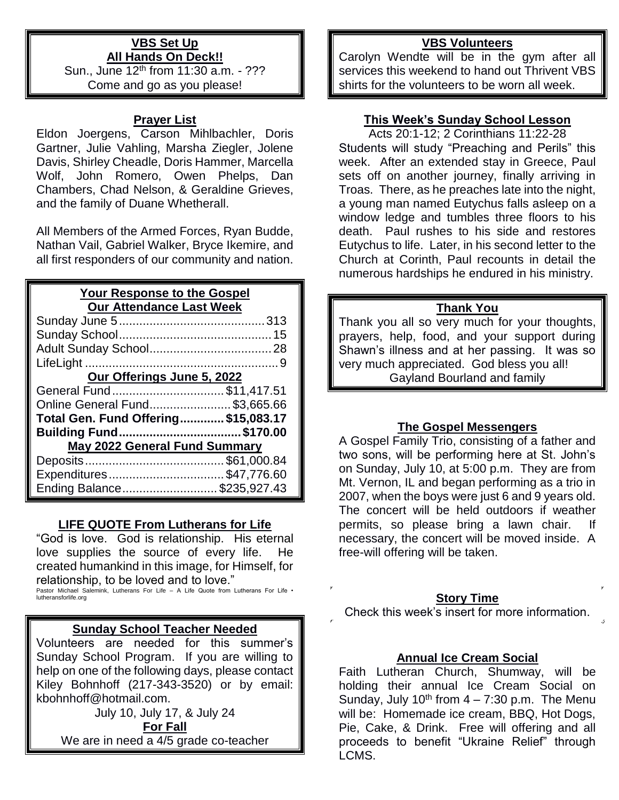#### **VBS Set Up All Hands On Deck!!**

Sun., June 12th from 11:30 a.m. - ??? Come and go as you please!

#### **Prayer List**

Eldon Joergens, Carson Mihlbachler, Doris Gartner, Julie Vahling, Marsha Ziegler, Jolene Davis, Shirley Cheadle, Doris Hammer, Marcella Wolf, John Romero, Owen Phelps, Dan Chambers, Chad Nelson, & Geraldine Grieves, and the family of Duane Whetherall.

All Members of the Armed Forces, Ryan Budde, Nathan Vail, Gabriel Walker, Bryce Ikemire, and all first responders of our community and nation.

# **Your Response to the Gospel Our Attendance Last Week**

| Our Offerings June 5, 2022           |  |  |  |
|--------------------------------------|--|--|--|
| General Fund\$11,417.51              |  |  |  |
| Online General Fund\$3,665.66        |  |  |  |
| Total Gen. Fund Offering\$15,083.17  |  |  |  |
| Building Fund\$170.00                |  |  |  |
| <b>May 2022 General Fund Summary</b> |  |  |  |
|                                      |  |  |  |
| Expenditures\$47,776.60              |  |  |  |
| Ending Balance\$235,927.43           |  |  |  |

# **LIFE QUOTE From Lutherans for Life**

"God is love. God is relationship. His eternal love supplies the source of every life. He created humankind in this image, for Himself, for relationship, to be loved and to love."

Pastor Michael Salemink, Lutherans For Life – A Life Quote from Lutherans For Life • lutheransforlife.org

# **Sunday School Teacher Needed**

Volunteers are needed for this summer's Sunday School Program. If you are willing to help on one of the following days, please contact Kiley Bohnhoff (217-343-3520) or by email: kbohnhoff@hotmail.com.

July 10, July 17, & July 24

**For Fall** We are in need a 4/5 grade co-teacher

# **VBS Volunteers**

Carolyn Wendte will be in the gym after all services this weekend to hand out Thrivent VBS shirts for the volunteers to be worn all week.

# **This Week's Sunday School Lesson**

Acts 20:1-12; 2 Corinthians 11:22-28 Students will study "Preaching and Perils" this week. After an extended stay in Greece, Paul sets off on another journey, finally arriving in Troas. There, as he preaches late into the night, a young man named Eutychus falls asleep on a window ledge and tumbles three floors to his death. Paul rushes to his side and restores Eutychus to life. Later, in his second letter to the Church at Corinth, Paul recounts in detail the numerous hardships he endured in his ministry.

#### **Thank You**

Thank you all so very much for your thoughts, prayers, help, food, and your support during Shawn's illness and at her passing. It was so very much appreciated. God bless you all! Gayland Bourland and family

# **The Gospel Messengers**

A Gospel Family Trio, consisting of a father and two sons, will be performing here at St. John's on Sunday, July 10, at 5:00 p.m. They are from Mt. Vernon, IL and began performing as a trio in 2007, when the boys were just 6 and 9 years old. The concert will be held outdoors if weather permits, so please bring a lawn chair. necessary, the concert will be moved inside. A free-will offering will be taken.

# **Story Time**

Check this week's insert for more information.

# **Annual Ice Cream Social**

Faith Lutheran Church, Shumway, will be holding their annual Ice Cream Social on Sunday, July  $10^{th}$  from  $4 - 7:30$  p.m. The Menu will be: Homemade ice cream, BBQ, Hot Dogs, Pie, Cake, & Drink. Free will offering and all proceeds to benefit "Ukraine Relief" through LCMS.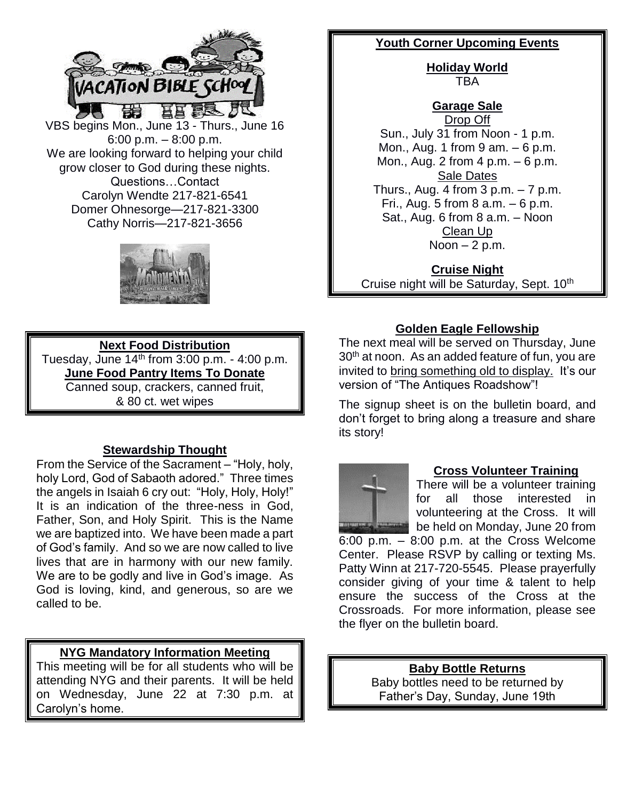

VBS begins Mon., June 13 - Thurs., June 16 6:00 p.m. – 8:00 p.m. We are looking forward to helping your child grow closer to God during these nights. Questions…Contact Carolyn Wendte 217-821-6541 Domer Ohnesorge—217-821-3300 Cathy Norris—217-821-3656



# **Next Food Distribution**

Tuesday, June  $14<sup>th</sup>$  from 3:00 p.m. - 4:00 p.m. **June Food Pantry Items To Donate** Canned soup, crackers, canned fruit, & 80 ct. wet wipes

# **Stewardship Thought**

From the Service of the Sacrament – "Holy, holy, holy Lord, God of Sabaoth adored." Three times the angels in Isaiah 6 cry out: "Holy, Holy, Holy!" It is an indication of the three-ness in God, Father, Son, and Holy Spirit. This is the Name we are baptized into. We have been made a part of God's family. And so we are now called to live lives that are in harmony with our new family. We are to be godly and live in God's image. As God is loving, kind, and generous, so are we called to be.

# **NYG Mandatory Information Meeting**

This meeting will be for all students who will be attending NYG and their parents. It will be held on Wednesday, June 22 at 7:30 p.m. at Carolyn's home.

#### **Youth Corner Upcoming Events**

**Holiday World** TBA

**Garage Sale** Drop Off Sun., July 31 from Noon - 1 p.m. Mon., Aug. 1 from 9 am. – 6 p.m. Mon., Aug. 2 from 4 p.m. – 6 p.m. Sale Dates Thurs., Aug. 4 from  $3$  p.m.  $-7$  p.m. Fri., Aug. 5 from 8 a.m.  $-6$  p.m. Sat., Aug. 6 from 8 a.m. – Noon Clean Up Noon  $-2$  p.m.

**Cruise Night** Cruise night will be Saturday, Sept. 10<sup>th</sup>

# **Golden Eagle Fellowship**

The next meal will be served on Thursday, June 30<sup>th</sup> at noon. As an added feature of fun, you are invited to bring something old to display. It's our version of "The Antiques Roadshow"!

The signup sheet is on the bulletin board, and don't forget to bring along a treasure and share its story!



#### **Cross Volunteer Training**

There will be a volunteer training for all those interested in volunteering at the Cross. It will be held on Monday, June 20 from 6:00 p.m. – 8:00 p.m. at the Cross Welcome Center. Please RSVP by calling or texting Ms. Patty Winn at 217-720-5545. Please prayerfully consider giving of your time & talent to help ensure the success of the Cross at the Crossroads. For more information, please see the flyer on the bulletin board.

> **Baby Bottle Returns** Baby bottles need to be returned by Father's Day, Sunday, June 19th